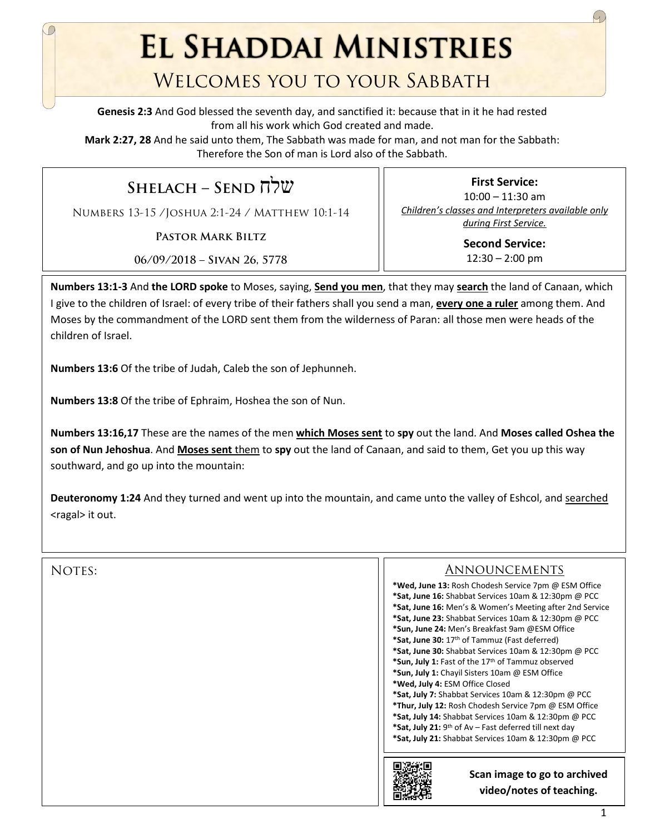**EL SHADDAI MINISTRIES** 

## Welcomes you to your Sabbath

**Genesis 2:3** And God blessed the seventh day, and sanctified it: because that in it he had rested from all his work which God created and made.

**Mark 2:27, 28** And he said unto them, The Sabbath was made for man, and not man for the Sabbath: Therefore the Son of man is Lord also of the Sabbath.

**Shelach – Send** שלח

Numbers 13-15 /Joshua 2:1-24 / Matthew 10:1-14

**Pastor Mark Biltz**

10:00 – 11:30 am *Children's classes and Interpreters available only during First Service.* **Second Service:** 

 $12:30 - 2:00$  pm

**First Service:** 

**06/09/2018 – Sivan 26, 5778**

**Numbers 13:1-3** And **the LORD spoke** to Moses, saying, **Send you men**, that they may **search** the land of Canaan, which I give to the children of Israel: of every tribe of their fathers shall you send a man, **every one a ruler** among them. And Moses by the commandment of the LORD sent them from the wilderness of Paran: all those men were heads of the children of Israel.

**Numbers 13:6** Of the tribe of Judah, Caleb the son of Jephunneh.

**Numbers 13:8** Of the tribe of Ephraim, Hoshea the son of Nun.

**Numbers 13:16,17** These are the names of the men **which Moses sent** to **spy** out the land. And **Moses called Oshea the son of Nun Jehoshua**. And **Moses sent** them to **spy** out the land of Canaan, and said to them, Get you up this way southward, and go up into the mountain:

**Deuteronomy 1:24** And they turned and went up into the mountain, and came unto the valley of Eshcol, and searched <ragal> it out.

## NOTES:

## Announcements

**\*Wed, June 13:** Rosh Chodesh Service 7pm @ ESM Office **\*Sat, June 16:** Shabbat Services 10am & 12:30pm @ PCC **\*Sat, June 16:** Men's & Women's Meeting after 2nd Service **\*Sat, June 23:** Shabbat Services 10am & 12:30pm @ PCC **\*Sun, June 24:** Men's Breakfast 9am @ESM Office **\*Sat, June 30:** 17th of Tammuz (Fast deferred) **\*Sat, June 30:** Shabbat Services 10am & 12:30pm @ PCC **\*Sun, July 1:** Fast of the 17th of Tammuz observed **\*Sun, July 1:** Chayil Sisters 10am @ ESM Office **\*Wed, July 4:** ESM Office Closed **\*Sat, July 7:** Shabbat Services 10am & 12:30pm @ PCC **\*Thur, July 12:** Rosh Chodesh Service 7pm @ ESM Office **\*Sat, July 14:** Shabbat Services 10am & 12:30pm @ PCC **\*Sat, July 21:** 9th of Av – Fast deferred till next day **\*Sat, July 21:** Shabbat Services 10am & 12:30pm @ PCC



**Scan image to go to archived video/notes of teaching.**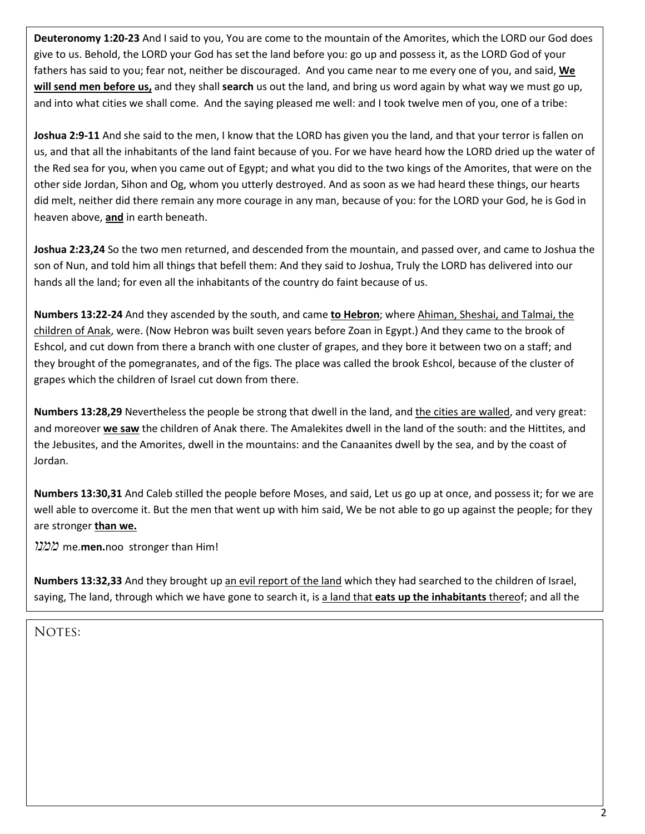**Deuteronomy 1:20-23** And I said to you, You are come to the mountain of the Amorites, which the LORD our God does give to us. Behold, the LORD your God has set the land before you: go up and possess it, as the LORD God of your fathers has said to you; fear not, neither be discouraged. And you came near to me every one of you, and said, **We will send men before us,** and they shall **search** us out the land, and bring us word again by what way we must go up, and into what cities we shall come. And the saying pleased me well: and I took twelve men of you, one of a tribe:

**Joshua 2:9-11** And she said to the men, I know that the LORD has given you the land, and that your terror is fallen on us, and that all the inhabitants of the land faint because of you. For we have heard how the LORD dried up the water of the Red sea for you, when you came out of Egypt; and what you did to the two kings of the Amorites, that were on the other side Jordan, Sihon and Og, whom you utterly destroyed. And as soon as we had heard these things, our hearts did melt, neither did there remain any more courage in any man, because of you: for the LORD your God, he is God in heaven above, **and** in earth beneath.

**Joshua 2:23,24** So the two men returned, and descended from the mountain, and passed over, and came to Joshua the son of Nun, and told him all things that befell them: And they said to Joshua, Truly the LORD has delivered into our hands all the land; for even all the inhabitants of the country do faint because of us.

**Numbers 13:22-24** And they ascended by the south, and came **to Hebron**; where Ahiman, Sheshai, and Talmai, the children of Anak, were. (Now Hebron was built seven years before Zoan in Egypt.) And they came to the brook of Eshcol, and cut down from there a branch with one cluster of grapes, and they bore it between two on a staff; and they brought of the pomegranates, and of the figs. The place was called the brook Eshcol, because of the cluster of grapes which the children of Israel cut down from there.

**Numbers 13:28,29** Nevertheless the people be strong that dwell in the land, and the cities are walled, and very great: and moreover **we saw** the children of Anak there. The Amalekites dwell in the land of the south: and the Hittites, and the Jebusites, and the Amorites, dwell in the mountains: and the Canaanites dwell by the sea, and by the coast of Jordan.

**Numbers 13:30,31** And Caleb stilled the people before Moses, and said, Let us go up at once, and possess it; for we are well able to overcome it. But the men that went up with him said, We be not able to go up against the people; for they are stronger **than we.**

*ממנו* me.**men.**noo stronger than Him!

**Numbers 13:32,33** And they brought up an evil report of the land which they had searched to the children of Israel, saying, The land, through which we have gone to search it, is a land that **eats up the inhabitants** thereof; and all the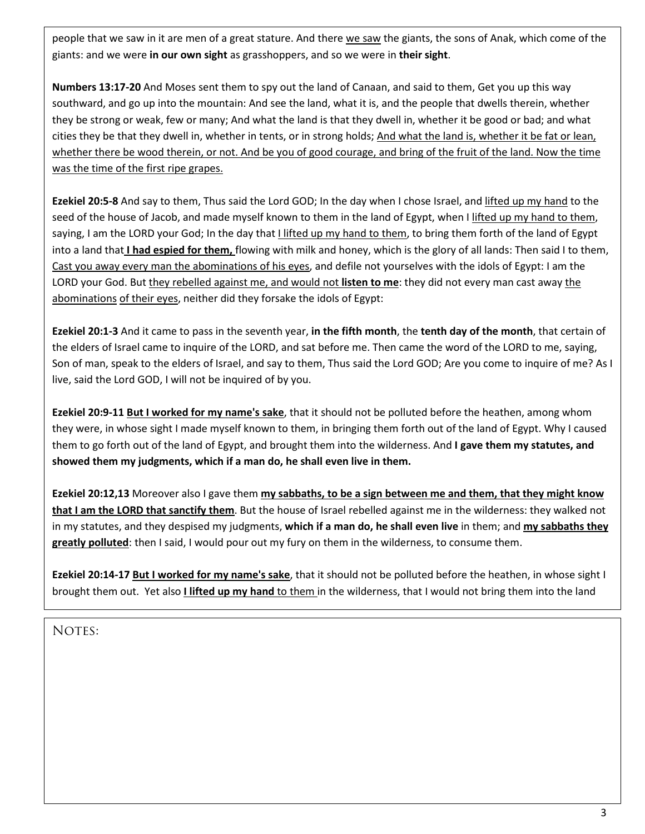people that we saw in it are men of a great stature. And there we saw the giants, the sons of Anak, which come of the giants: and we were **in our own sight** as grasshoppers, and so we were in **their sight**.

**Numbers 13:17-20** And Moses sent them to spy out the land of Canaan, and said to them, Get you up this way southward, and go up into the mountain: And see the land, what it is, and the people that dwells therein, whether they be strong or weak, few or many; And what the land is that they dwell in, whether it be good or bad; and what cities they be that they dwell in, whether in tents, or in strong holds; And what the land is, whether it be fat or lean, whether there be wood therein, or not. And be you of good courage, and bring of the fruit of the land. Now the time was the time of the first ripe grapes.

**Ezekiel 20:5-8** And say to them, Thus said the Lord GOD; In the day when I chose Israel, and lifted up my hand to the seed of the house of Jacob, and made myself known to them in the land of Egypt, when I lifted up my hand to them, saying, I am the LORD your God; In the day that I lifted up my hand to them, to bring them forth of the land of Egypt into a land that **I had espied for them,** flowing with milk and honey, which is the glory of all lands: Then said I to them, Cast you away every man the abominations of his eyes, and defile not yourselves with the idols of Egypt: I am the LORD your God. But they rebelled against me, and would not **listen to me**: they did not every man cast away the abominations of their eyes, neither did they forsake the idols of Egypt:

**Ezekiel 20:1-3** And it came to pass in the seventh year, **in the fifth month**, the **tenth day of the month**, that certain of the elders of Israel came to inquire of the LORD, and sat before me. Then came the word of the LORD to me, saying, Son of man, speak to the elders of Israel, and say to them, Thus said the Lord GOD; Are you come to inquire of me? As I live, said the Lord GOD, I will not be inquired of by you.

**Ezekiel 20:9-11 But I worked for my name's sake**, that it should not be polluted before the heathen, among whom they were, in whose sight I made myself known to them, in bringing them forth out of the land of Egypt. Why I caused them to go forth out of the land of Egypt, and brought them into the wilderness. And **I gave them my statutes, and showed them my judgments, which if a man do, he shall even live in them.**

**Ezekiel 20:12,13** Moreover also I gave them **my sabbaths, to be a sign between me and them, that they might know that I am the LORD that sanctify them**. But the house of Israel rebelled against me in the wilderness: they walked not in my statutes, and they despised my judgments, **which if a man do, he shall even live** in them; and **my sabbaths they greatly polluted**: then I said, I would pour out my fury on them in the wilderness, to consume them.

**Ezekiel 20:14-17 But I worked for my name's sake**, that it should not be polluted before the heathen, in whose sight I brought them out. Yet also **I lifted up my hand** to them in the wilderness, that I would not bring them into the land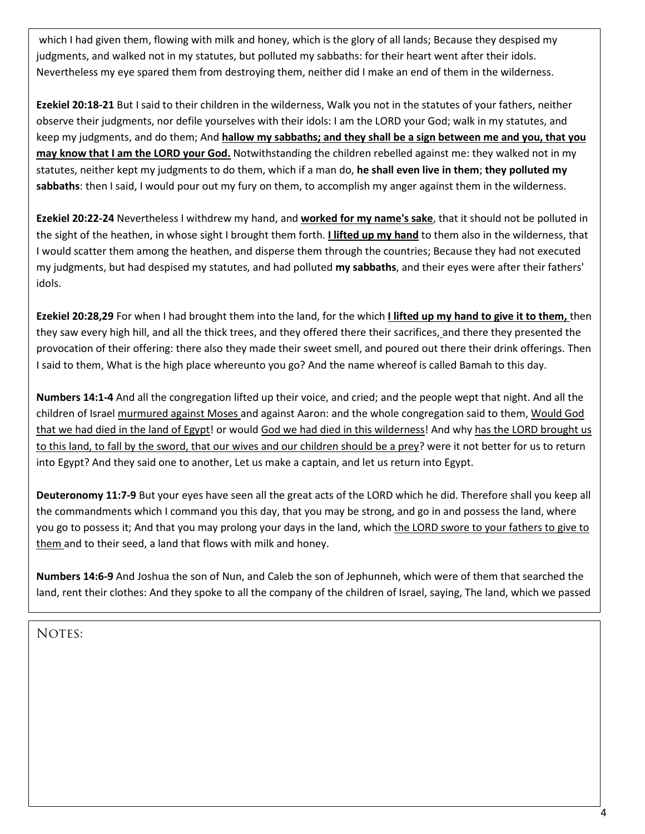which I had given them, flowing with milk and honey, which is the glory of all lands; Because they despised my judgments, and walked not in my statutes, but polluted my sabbaths: for their heart went after their idols. Nevertheless my eye spared them from destroying them, neither did I make an end of them in the wilderness.

**Ezekiel 20:18-21** But I said to their children in the wilderness, Walk you not in the statutes of your fathers, neither observe their judgments, nor defile yourselves with their idols: I am the LORD your God; walk in my statutes, and keep my judgments, and do them; And **hallow my sabbaths; and they shall be a sign between me and you, that you may know that I am the LORD your God.** Notwithstanding the children rebelled against me: they walked not in my statutes, neither kept my judgments to do them, which if a man do, **he shall even live in them**; **they polluted my sabbaths**: then I said, I would pour out my fury on them, to accomplish my anger against them in the wilderness.

**Ezekiel 20:22-24** Nevertheless I withdrew my hand, and **worked for my name's sake**, that it should not be polluted in the sight of the heathen, in whose sight I brought them forth. **I lifted up my hand** to them also in the wilderness, that I would scatter them among the heathen, and disperse them through the countries; Because they had not executed my judgments, but had despised my statutes, and had polluted **my sabbaths**, and their eyes were after their fathers' idols.

**Ezekiel 20:28,29** For when I had brought them into the land, for the which **I lifted up my hand to give it to them,** then they saw every high hill, and all the thick trees, and they offered there their sacrifices, and there they presented the provocation of their offering: there also they made their sweet smell, and poured out there their drink offerings. Then I said to them, What is the high place whereunto you go? And the name whereof is called Bamah to this day.

**Numbers 14:1-4** And all the congregation lifted up their voice, and cried; and the people wept that night. And all the children of Israel murmured against Moses and against Aaron: and the whole congregation said to them, Would God that we had died in the land of Egypt! or would God we had died in this wilderness! And why has the LORD brought us to this land, to fall by the sword, that our wives and our children should be a prey? were it not better for us to return into Egypt? And they said one to another, Let us make a captain, and let us return into Egypt.

**Deuteronomy 11:7-9** But your eyes have seen all the great acts of the LORD which he did. Therefore shall you keep all the commandments which I command you this day, that you may be strong, and go in and possess the land, where you go to possess it; And that you may prolong your days in the land, which the LORD swore to your fathers to give to them and to their seed, a land that flows with milk and honey.

**Numbers 14:6-9** And Joshua the son of Nun, and Caleb the son of Jephunneh, which were of them that searched the land, rent their clothes: And they spoke to all the company of the children of Israel, saying, The land, which we passed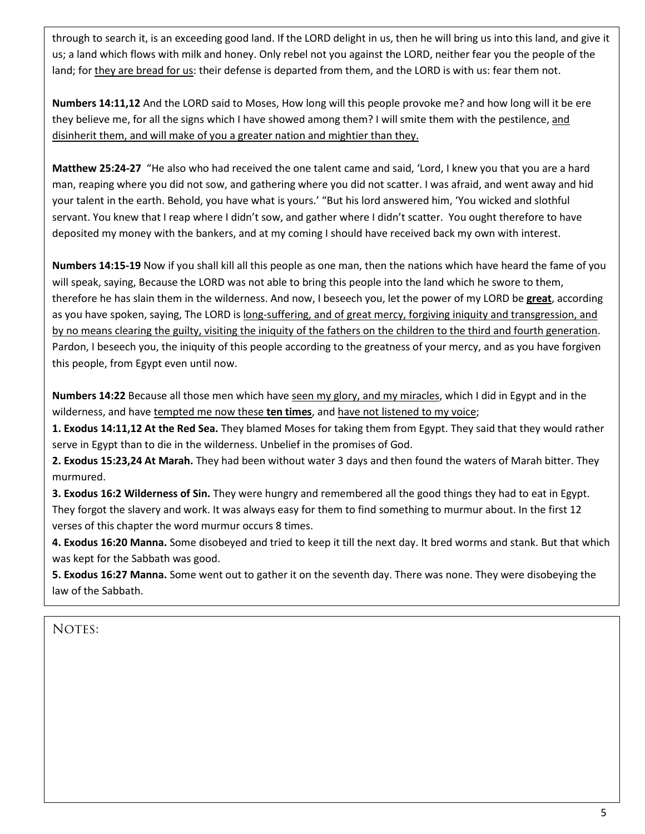through to search it, is an exceeding good land. If the LORD delight in us, then he will bring us into this land, and give it us; a land which flows with milk and honey. Only rebel not you against the LORD, neither fear you the people of the land; for they are bread for us: their defense is departed from them, and the LORD is with us: fear them not.

**Numbers 14:11,12** And the LORD said to Moses, How long will this people provoke me? and how long will it be ere they believe me, for all the signs which I have showed among them? I will smite them with the pestilence, and disinherit them, and will make of you a greater nation and mightier than they.

**Matthew 25:24-27** "He also who had received the one talent came and said, 'Lord, I knew you that you are a hard man, reaping where you did not sow, and gathering where you did not scatter. I was afraid, and went away and hid your talent in the earth. Behold, you have what is yours.' "But his lord answered him, 'You wicked and slothful servant. You knew that I reap where I didn't sow, and gather where I didn't scatter. You ought therefore to have deposited my money with the bankers, and at my coming I should have received back my own with interest.

**Numbers 14:15-19** Now if you shall kill all this people as one man, then the nations which have heard the fame of you will speak, saying, Because the LORD was not able to bring this people into the land which he swore to them, therefore he has slain them in the wilderness. And now, I beseech you, let the power of my LORD be **great**, according as you have spoken, saying, The LORD is long-suffering, and of great mercy, forgiving iniquity and transgression, and by no means clearing the guilty, visiting the iniquity of the fathers on the children to the third and fourth generation. Pardon, I beseech you, the iniquity of this people according to the greatness of your mercy, and as you have forgiven this people, from Egypt even until now.

**Numbers 14:22** Because all those men which have seen my glory, and my miracles, which I did in Egypt and in the wilderness, and have tempted me now these **ten times**, and have not listened to my voice;

**1. Exodus 14:11,12 At the Red Sea.** They blamed Moses for taking them from Egypt. They said that they would rather serve in Egypt than to die in the wilderness. Unbelief in the promises of God.

**2. Exodus 15:23,24 At Marah.** They had been without water 3 days and then found the waters of Marah bitter. They murmured.

**3. Exodus 16:2 Wilderness of Sin.** They were hungry and remembered all the good things they had to eat in Egypt. They forgot the slavery and work. It was always easy for them to find something to murmur about. In the first 12 verses of this chapter the word murmur occurs 8 times.

**4. Exodus 16:20 Manna.** Some disobeyed and tried to keep it till the next day. It bred worms and stank. But that which was kept for the Sabbath was good.

**5. Exodus 16:27 Manna.** Some went out to gather it on the seventh day. There was none. They were disobeying the law of the Sabbath.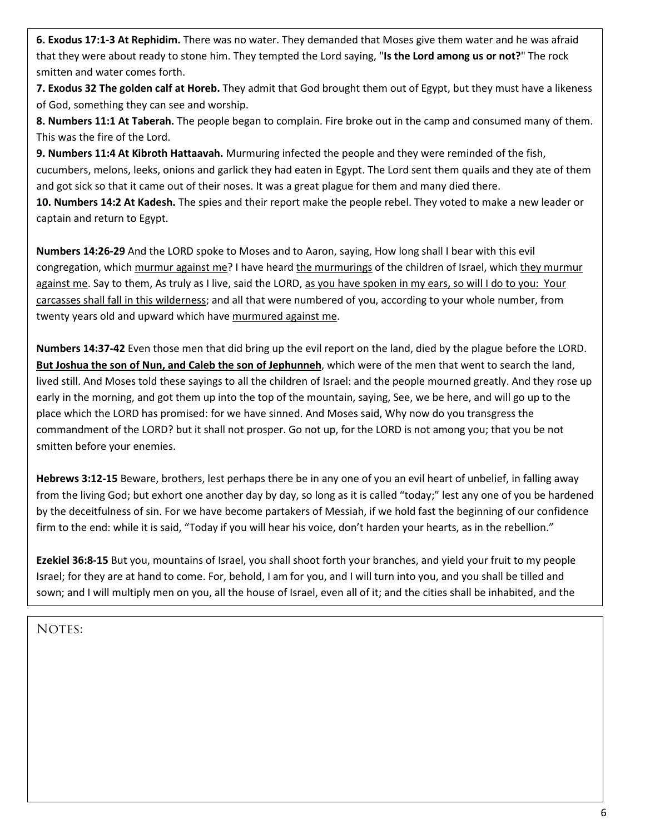**6. Exodus 17:1-3 At Rephidim.** There was no water. They demanded that Moses give them water and he was afraid that they were about ready to stone him. They tempted the Lord saying, "**Is the Lord among us or not?**" The rock smitten and water comes forth.

**7. Exodus 32 The golden calf at Horeb.** They admit that God brought them out of Egypt, but they must have a likeness of God, something they can see and worship.

**8. Numbers 11:1 At Taberah.** The people began to complain. Fire broke out in the camp and consumed many of them. This was the fire of the Lord.

**9. Numbers 11:4 At Kibroth Hattaavah.** Murmuring infected the people and they were reminded of the fish, cucumbers, melons, leeks, onions and garlick they had eaten in Egypt. The Lord sent them quails and they ate of them and got sick so that it came out of their noses. It was a great plague for them and many died there.

**10. Numbers 14:2 At Kadesh.** The spies and their report make the people rebel. They voted to make a new leader or captain and return to Egypt.

**Numbers 14:26-29** And the LORD spoke to Moses and to Aaron, saying, How long shall I bear with this evil congregation, which murmur against me? I have heard the murmurings of the children of Israel, which they murmur against me. Say to them, As truly as I live, said the LORD, as you have spoken in my ears, so will I do to you: Your carcasses shall fall in this wilderness; and all that were numbered of you, according to your whole number, from twenty years old and upward which have murmured against me.

**Numbers 14:37-42** Even those men that did bring up the evil report on the land, died by the plague before the LORD. **But Joshua the son of Nun, and Caleb the son of Jephunneh**, which were of the men that went to search the land, lived still. And Moses told these sayings to all the children of Israel: and the people mourned greatly. And they rose up early in the morning, and got them up into the top of the mountain, saying, See, we be here, and will go up to the place which the LORD has promised: for we have sinned. And Moses said, Why now do you transgress the commandment of the LORD? but it shall not prosper. Go not up, for the LORD is not among you; that you be not smitten before your enemies.

**Hebrews 3:12-15** Beware, brothers, lest perhaps there be in any one of you an evil heart of unbelief, in falling away from the living God; but exhort one another day by day, so long as it is called "today;" lest any one of you be hardened by the deceitfulness of sin. For we have become partakers of Messiah, if we hold fast the beginning of our confidence firm to the end: while it is said, "Today if you will hear his voice, don't harden your hearts, as in the rebellion."

**Ezekiel 36:8-15** But you, mountains of Israel, you shall shoot forth your branches, and yield your fruit to my people Israel; for they are at hand to come. For, behold, I am for you, and I will turn into you, and you shall be tilled and sown; and I will multiply men on you, all the house of Israel, even all of it; and the cities shall be inhabited, and the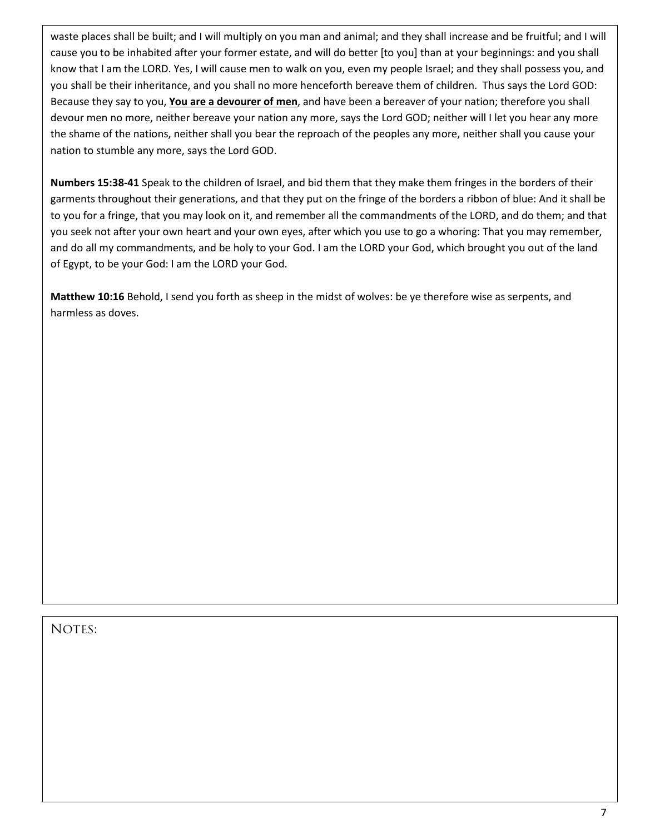waste places shall be built; and I will multiply on you man and animal; and they shall increase and be fruitful; and I will cause you to be inhabited after your former estate, and will do better [to you] than at your beginnings: and you shall know that I am the LORD. Yes, I will cause men to walk on you, even my people Israel; and they shall possess you, and you shall be their inheritance, and you shall no more henceforth bereave them of children. Thus says the Lord GOD: Because they say to you, **You are a devourer of men**, and have been a bereaver of your nation; therefore you shall devour men no more, neither bereave your nation any more, says the Lord GOD; neither will I let you hear any more the shame of the nations, neither shall you bear the reproach of the peoples any more, neither shall you cause your nation to stumble any more, says the Lord GOD.

**Numbers 15:38-41** Speak to the children of Israel, and bid them that they make them fringes in the borders of their garments throughout their generations, and that they put on the fringe of the borders a ribbon of blue: And it shall be to you for a fringe, that you may look on it, and remember all the commandments of the LORD, and do them; and that you seek not after your own heart and your own eyes, after which you use to go a whoring: That you may remember, and do all my commandments, and be holy to your God. I am the LORD your God, which brought you out of the land of Egypt, to be your God: I am the LORD your God.

**Matthew 10:16** Behold, I send you forth as sheep in the midst of wolves: be ye therefore wise as serpents, and harmless as doves.